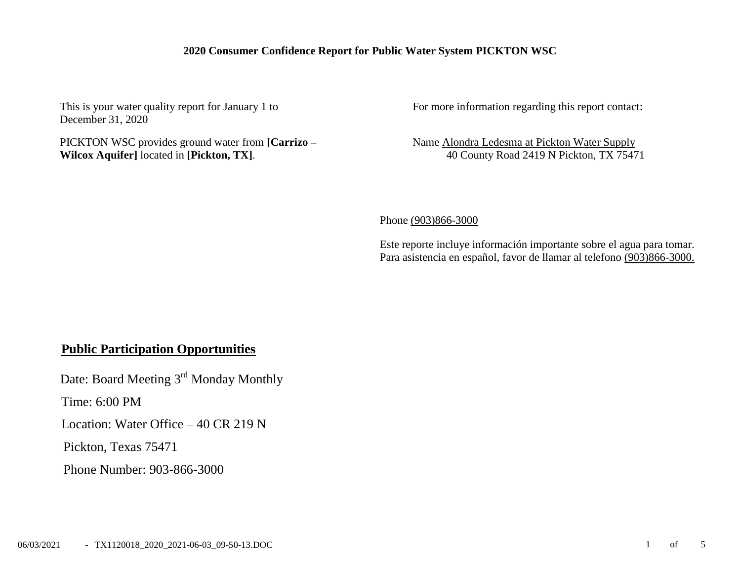## **2020 Consumer Confidence Report for Public Water System PICKTON WSC**

This is your water quality report for January 1 to December 31, 2020

PICKTON WSC provides ground water from **[Carrizo – Wilcox Aquifer]** located in **[Pickton, TX]**.

For more information regarding this report contact:

Name Alondra Ledesma at Pickton Water Supply 40 County Road 2419 N Pickton, TX 75471

Phone (903)866-3000

Este reporte incluye información importante sobre el agua para tomar. Para asistencia en español, favor de llamar al telefono (903)866-3000.

## **Public Participation Opportunities**

Date: Board Meeting 3<sup>rd</sup> Monday Monthly

Time: 6:00 PM

Location: Water Office – 40 CR 219 N

Pickton, Texas 75471

Phone Number: 903-866-3000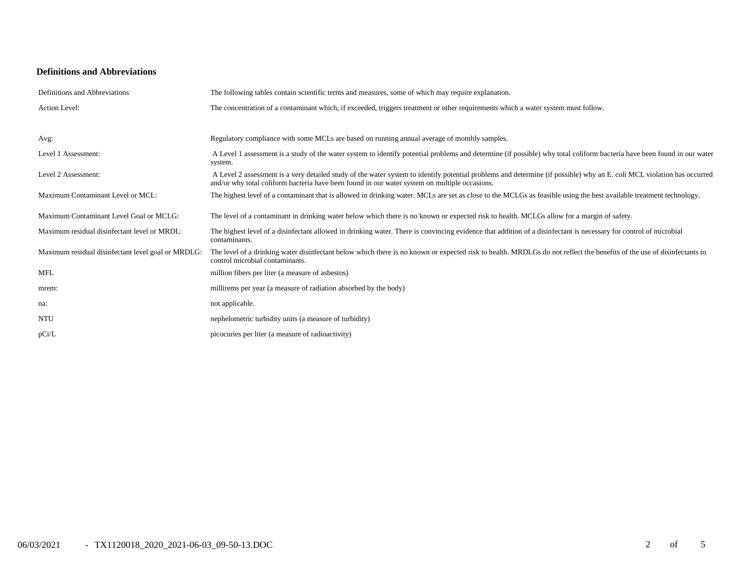### **Definitions and Abbreviations**

| Definitions and Abbreviations                      | The following tables contain scientific terms and measures, some of which may require explanation.                                                                                                                                                                      |
|----------------------------------------------------|-------------------------------------------------------------------------------------------------------------------------------------------------------------------------------------------------------------------------------------------------------------------------|
| Action Level:                                      | The concentration of a contaminant which, if exceeded, triggers treatment or other requirements which a water system must follow.                                                                                                                                       |
|                                                    |                                                                                                                                                                                                                                                                         |
| Avg:                                               | Regulatory compliance with some MCLs are based on running annual average of monthly samples.                                                                                                                                                                            |
| Level 1 Assessment:                                | A Level 1 assessment is a study of the water system to identify potential problems and determine (if possible) why total coliform bacteria have been found in our water<br>system.                                                                                      |
| Level 2 Assessment:                                | A Level 2 assessment is a very detailed study of the water system to identify potential problems and determine (if possible) why an E. coli MCL violation has occurred<br>and/or why total coliform bacteria have been found in our water system on multiple occasions. |
| Maximum Contaminant Level or MCL:                  | The highest level of a contaminant that is allowed in drinking water. MCLs are set as close to the MCLGs as feasible using the best available treatment technology.                                                                                                     |
| Maximum Contaminant Level Goal or MCLG:            | The level of a contaminant in drinking water below which there is no known or expected risk to health. MCLGs allow for a margin of safety.                                                                                                                              |
| Maximum residual disinfectant level or MRDL:       | The highest level of a disinfectant allowed in drinking water. There is convincing evidence that addition of a disinfectant is necessary for control of microbial<br>contaminants.                                                                                      |
| Maximum residual disinfectant level goal or MRDLG: | The level of a drinking water disinfectant below which there is no known or expected risk to health. MRDLGs do not reflect the benefits of the use of disinfectants to<br>control microbial contaminants.                                                               |
| <b>MFL</b>                                         | million fibers per liter (a measure of asbestos)                                                                                                                                                                                                                        |
| mrem:                                              | millirems per year (a measure of radiation absorbed by the body)                                                                                                                                                                                                        |
| na:                                                | not applicable.                                                                                                                                                                                                                                                         |
| <b>NTU</b>                                         | nephelometric turbidity units (a measure of turbidity)                                                                                                                                                                                                                  |
| pCi/L                                              | picocuries per liter (a measure of radioactivity)                                                                                                                                                                                                                       |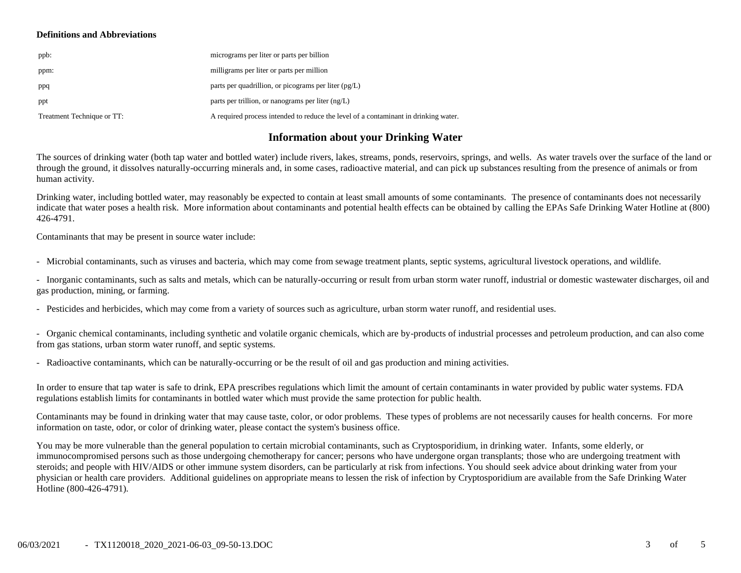#### **Definitions and Abbreviations**

| ppb:                       | micrograms per liter or parts per billion                                           |
|----------------------------|-------------------------------------------------------------------------------------|
| ppm:                       | milligrams per liter or parts per million                                           |
| ppq                        | parts per quadrillion, or picograms per liter $(pg/L)$                              |
| ppt                        | parts per trillion, or nanograms per liter $(ng/L)$                                 |
| Treatment Technique or TT: | A required process intended to reduce the level of a contaminant in drinking water. |

### **Information about your Drinking Water**

The sources of drinking water (both tap water and bottled water) include rivers, lakes, streams, ponds, reservoirs, springs, and wells. As water travels over the surface of the land or through the ground, it dissolves naturally-occurring minerals and, in some cases, radioactive material, and can pick up substances resulting from the presence of animals or from human activity.

Drinking water, including bottled water, may reasonably be expected to contain at least small amounts of some contaminants. The presence of contaminants does not necessarily indicate that water poses a health risk. More information about contaminants and potential health effects can be obtained by calling the EPAs Safe Drinking Water Hotline at (800) 426-4791.

Contaminants that may be present in source water include:

- Microbial contaminants, such as viruses and bacteria, which may come from sewage treatment plants, septic systems, agricultural livestock operations, and wildlife.

- Inorganic contaminants, such as salts and metals, which can be naturally-occurring or result from urban storm water runoff, industrial or domestic wastewater discharges, oil and gas production, mining, or farming.

- Pesticides and herbicides, which may come from a variety of sources such as agriculture, urban storm water runoff, and residential uses.

- Organic chemical contaminants, including synthetic and volatile organic chemicals, which are by-products of industrial processes and petroleum production, and can also come from gas stations, urban storm water runoff, and septic systems.

- Radioactive contaminants, which can be naturally-occurring or be the result of oil and gas production and mining activities.

In order to ensure that tap water is safe to drink, EPA prescribes regulations which limit the amount of certain contaminants in water provided by public water systems. FDA regulations establish limits for contaminants in bottled water which must provide the same protection for public health.

Contaminants may be found in drinking water that may cause taste, color, or odor problems. These types of problems are not necessarily causes for health concerns. For more information on taste, odor, or color of drinking water, please contact the system's business office.

You may be more vulnerable than the general population to certain microbial contaminants, such as Cryptosporidium, in drinking water. Infants, some elderly, or immunocompromised persons such as those undergoing chemotherapy for cancer; persons who have undergone organ transplants; those who are undergoing treatment with steroids; and people with HIV/AIDS or other immune system disorders, can be particularly at risk from infections. You should seek advice about drinking water from your physician or health care providers. Additional guidelines on appropriate means to lessen the risk of infection by Cryptosporidium are available from the Safe Drinking Water Hotline (800-426-4791).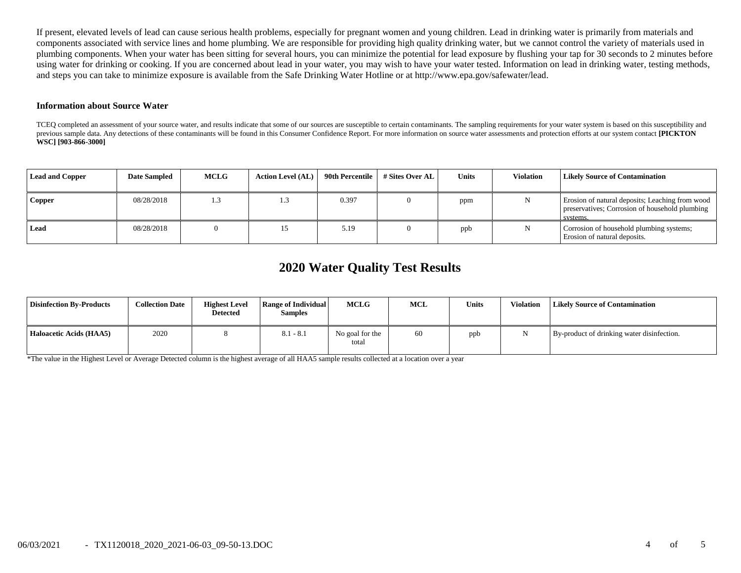If present, elevated levels of lead can cause serious health problems, especially for pregnant women and young children. Lead in drinking water is primarily from materials and components associated with service lines and home plumbing. We are responsible for providing high quality drinking water, but we cannot control the variety of materials used in plumbing components. When your water has been sitting for several hours, you can minimize the potential for lead exposure by flushing your tap for 30 seconds to 2 minutes before using water for drinking or cooking. If you are concerned about lead in your water, you may wish to have your water tested. Information on lead in drinking water, testing methods, and steps you can take to minimize exposure is available from the Safe Drinking Water Hotline or at http://www.epa.gov/safewater/lead.

#### **Information about Source Water**

TCEQ completed an assessment of your source water, and results indicate that some of our sources are susceptible to certain contaminants. The sampling requirements for your water system is based on this susceptibility and previous sample data. Any detections of these contaminants will be found in this Consumer Confidence Report. For more information on source water assessments and protection efforts at our system contact **[PICKTON WSC] [903-866-3000]**

| <b>Lead and Copper</b> | <b>Date Sampled</b> | <b>MCLG</b> | <b>Action Level (AL)</b> | 90th Percentile | # Sites Over AL | Units | <b>Violation</b> | <b>Likely Source of Contamination</b>                                                                         |
|------------------------|---------------------|-------------|--------------------------|-----------------|-----------------|-------|------------------|---------------------------------------------------------------------------------------------------------------|
| <b>Copper</b>          | 08/28/2018          | 1.3         |                          | 0.397           |                 | ppm   |                  | Erosion of natural deposits; Leaching from wood<br>preservatives; Corrosion of household plumbing<br>systems. |
| Lead                   | 08/28/2018          |             |                          | 5.19            |                 | ppb   |                  | Corrosion of household plumbing systems;<br>Erosion of natural deposits.                                      |

# **2020 Water Quality Test Results**

| <b>Disinfection By-Products</b> | <b>Collection Date</b> | <b>Highest Level</b><br><b>Detected</b> | Range of Individual<br><b>Samples</b> | <b>MCLG</b>              | <b>MCL</b> | Units | <b>Violation</b> | <b>Likely Source of Contamination</b>      |
|---------------------------------|------------------------|-----------------------------------------|---------------------------------------|--------------------------|------------|-------|------------------|--------------------------------------------|
| Haloacetic Acids (HAA5)         | 2020                   |                                         | $8.1 - 8.1$                           | No goal for the<br>total | 60         | ppb   |                  | By-product of drinking water disinfection. |

\*The value in the Highest Level or Average Detected column is the highest average of all HAA5 sample results collected at a location over a year